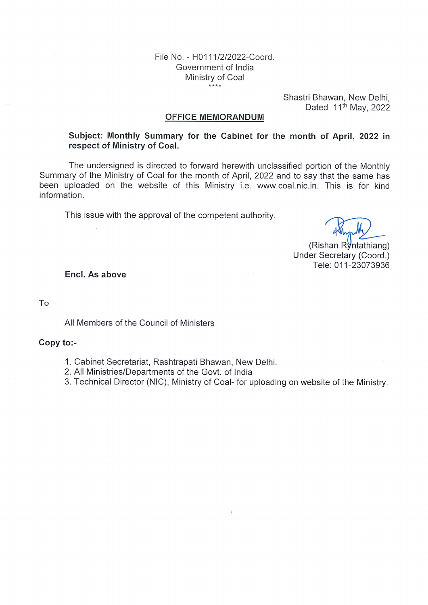### File No. - H0111/2/2022-Coord. Government of India Ministry of Coal  $***$

Shastri Bhawan, New Delhi, Dated 11<sup>th</sup> May, 2022

#### **OFFICE MEMORANDUM**

# Subject: Monthly Summary for the Cabinet for the month of April, 2022 in respect of Ministry of Coal.

The undersigned is directed to forward herewith unclassified portion of the Monthly Summary of the Ministry of Coal for the month of April, 2022 and to say that the same has been uploaded on the website of this Ministry i.e. www.coal.nic.in. This is for kind information.

This issue with the approval of the competent authority.

(Rishan Ryntathiang) Under Secretary (Coord.) Tele: 011-23073936

Encl. As above

To

All Members of the Council of Ministers

# Copy to:-

- 1. Cabinet Secretariat, Rashtrapati Bhawan, New Delhi.
- 2. All Ministries/Departments of the Govt. of India
- 3. Technical Director (NIC), Ministry of Coal- for uploading on website of the Ministry.

 $\mathcal{I}$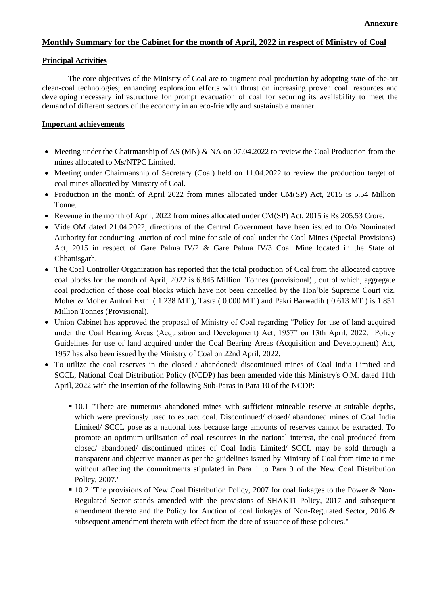# **Monthly Summary for the Cabinet for the month of April, 2022 in respect of Ministry of Coal**

#### **Principal Activities**

The core objectives of the Ministry of Coal are to augment coal production by adopting state-of-the-art clean-coal technologies; enhancing exploration efforts with thrust on increasing proven coal resources and developing necessary infrastructure for prompt evacuation of coal for securing its availability to meet the demand of different sectors of the economy in an eco-friendly and sustainable manner.

### **Important achievements**

- Meeting under the Chairmanship of AS (MN) & NA on 07.04.2022 to review the Coal Production from the mines allocated to Ms/NTPC Limited.
- Meeting under Chairmanship of Secretary (Coal) held on 11.04.2022 to review the production target of coal mines allocated by Ministry of Coal.
- Production in the month of April 2022 from mines allocated under CM(SP) Act, 2015 is 5.54 Million Tonne.
- Revenue in the month of April, 2022 from mines allocated under CM(SP) Act, 2015 is Rs 205.53 Crore.
- Vide OM dated 21.04.2022, directions of the Central Government have been issued to  $O/O$  Nominated Authority for conducting auction of coal mine for sale of coal under the Coal Mines (Special Provisions) Act, 2015 in respect of Gare Palma IV/2 & Gare Palma IV/3 Coal Mine located in the State of Chhattisgarh.
- The Coal Controller Organization has reported that the total production of Coal from the allocated captive coal blocks for the month of April, 2022 is 6.845 Million Tonnes (provisional) , out of which, aggregate coal production of those coal blocks which have not been cancelled by the Hon'ble Supreme Court viz. Moher & Moher Amlori Extn. ( 1.238 MT ), Tasra ( 0.000 MT ) and Pakri Barwadih ( 0.613 MT ) is 1.851 Million Tonnes (Provisional).
- Union Cabinet has approved the proposal of Ministry of Coal regarding "Policy for use of land acquired under the Coal Bearing Areas (Acquisition and Development) Act, 1957" on 13th April, 2022. Policy Guidelines for use of land acquired under the Coal Bearing Areas (Acquisition and Development) Act, 1957 has also been issued by the Ministry of Coal on 22nd April, 2022.
- To utilize the coal reserves in the closed / abandoned/ discontinued mines of Coal India Limited and SCCL, National Coal Distribution Policy (NCDP) has been amended vide this Ministry's O.M. dated 11th April, 2022 with the insertion of the following Sub-Paras in Para 10 of the NCDP:
	- 10.1 "There are numerous abandoned mines with sufficient mineable reserve at suitable depths, which were previously used to extract coal. Discontinued/ closed/ abandoned mines of Coal India Limited/ SCCL pose as a national loss because large amounts of reserves cannot be extracted. To promote an optimum utilisation of coal resources in the national interest, the coal produced from closed/ abandoned/ discontinued mines of Coal India Limited/ SCCL may be sold through a transparent and objective manner as per the guidelines issued by Ministry of Coal from time to time without affecting the commitments stipulated in Para 1 to Para 9 of the New Coal Distribution Policy, 2007."
	- **10.2** "The provisions of New Coal Distribution Policy, 2007 for coal linkages to the Power & Non-Regulated Sector stands amended with the provisions of SHAKTI Policy, 2017 and subsequent amendment thereto and the Policy for Auction of coal linkages of Non-Regulated Sector, 2016 & subsequent amendment thereto with effect from the date of issuance of these policies."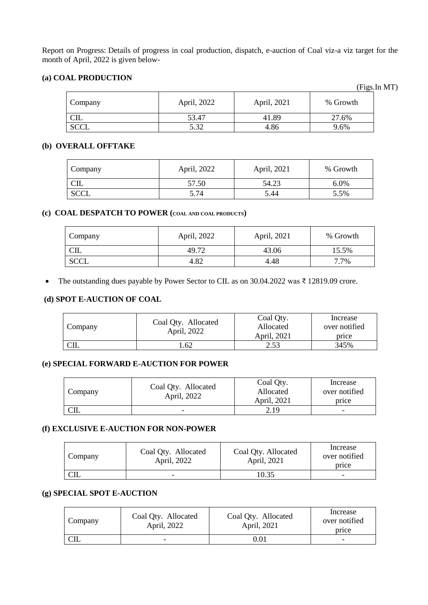Report on Progress: Details of progress in coal production, dispatch, e-auction of Coal viz-a viz target for the month of April, 2022 is given below-

# **(a) COAL PRODUCTION**

| Company     | April, 2022 | April, 2021 | % Growth |  |  |
|-------------|-------------|-------------|----------|--|--|
| CL          | 53.47       | 41.89       | 27.6%    |  |  |
| <b>SCCL</b> | 5.32        | 4.86        | 9.6%     |  |  |

# **(b) OVERALL OFFTAKE**

| Company     | April, 2022 | April, 2021 | % Growth |  |  |
|-------------|-------------|-------------|----------|--|--|
| பட          | 57.50       | 54.23       | 6.0%     |  |  |
| <b>SCCL</b> | 5.74        | 5.44        | 5.5%     |  |  |

## **(c) COAL DESPATCH TO POWER (COAL AND COAL PRODUCTS)**

| Company     | April, 2022 | April, 2021 | % Growth |
|-------------|-------------|-------------|----------|
| பட          | 49.72       | 43.06       | 15.5%    |
| <b>SCCL</b> | 4.82        | 4.48        | 7.7%     |

The outstanding dues payable by Power Sector to CIL as on 30.04.2022 was ₹ 12819.09 crore.

## **(d) SPOT E-AUCTION OF COAL**

| Company | Coal Qty. Allocated<br>April, 2022 | Coal Qty.<br>Allocated<br>April, 2021 | Increase<br>over notified<br>price |
|---------|------------------------------------|---------------------------------------|------------------------------------|
|         | .62                                | 2.53                                  | 345%                               |

# **(e) SPECIAL FORWARD E-AUCTION FOR POWER**

| Company | Coal Qty. Allocated<br>April, 2022 | Coal Oty.<br>Allocated<br>April, 2021 | Increase<br>over notified<br>price |
|---------|------------------------------------|---------------------------------------|------------------------------------|
|         |                                    | 2.19                                  |                                    |

## **(f) EXCLUSIVE E-AUCTION FOR NON-POWER**

| Company | Coal Qty. Allocated<br>April, 2022 | Coal Qty. Allocated<br>April, 2021 | Increase<br>over notified<br>price |
|---------|------------------------------------|------------------------------------|------------------------------------|
| CIL     | -                                  | 10.35                              | -                                  |

# **(g) SPECIAL SPOT E-AUCTION**

| Company | Coal Qty. Allocated<br>April, 2022 | Coal Qty. Allocated<br>April, 2021 | Increase<br>over notified<br>price |
|---------|------------------------------------|------------------------------------|------------------------------------|
| ഄய      | -                                  | 0.01                               | -                                  |

(Figs.In MT)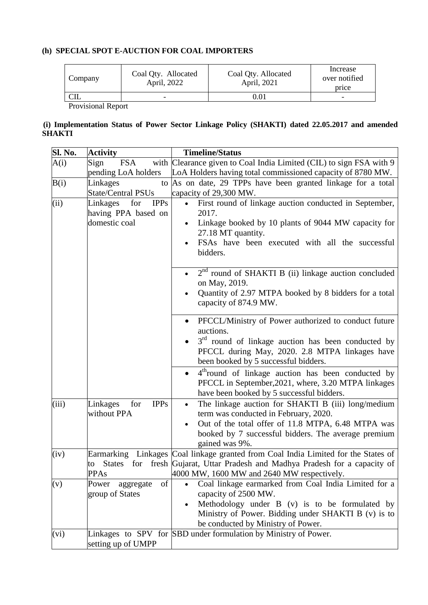# **(h) SPECIAL SPOT E-AUCTION FOR COAL IMPORTERS**

| Company | Coal Qty. Allocated<br>April, 2022 | Coal Qty. Allocated<br>April, 2021 | Increase<br>over notified<br>price |
|---------|------------------------------------|------------------------------------|------------------------------------|
| CL      | -                                  | 0.01                               | -                                  |
|         |                                    |                                    |                                    |

Provisional Report

## **(i) Implementation Status of Power Sector Linkage Policy (SHAKTI) dated 22.05.2017 and amended SHAKTI**

| Sl. No. | <b>Activity</b>                                       | <b>Timeline/Status</b>                                                                                                                                                                                    |
|---------|-------------------------------------------------------|-----------------------------------------------------------------------------------------------------------------------------------------------------------------------------------------------------------|
| A(i)    | Sign<br><b>FSA</b>                                    | with Clearance given to Coal India Limited (CIL) to sign FSA with 9                                                                                                                                       |
|         | pending LoA holders                                   | LoA Holders having total commissioned capacity of 8780 MW.                                                                                                                                                |
| B(i)    | Linkages<br>to                                        | As on date, 29 TPPs have been granted linkage for a total                                                                                                                                                 |
|         | <b>State/Central PSUs</b>                             | capacity of 29,300 MW.                                                                                                                                                                                    |
| (ii)    | <b>IPPs</b><br>Linkages<br>for<br>having PPA based on | First round of linkage auction conducted in September,<br>$\bullet$<br>2017.                                                                                                                              |
|         | domestic coal                                         | Linkage booked by 10 plants of 9044 MW capacity for<br>27.18 MT quantity.                                                                                                                                 |
|         |                                                       | FSAs have been executed with all the successful<br>bidders.                                                                                                                                               |
|         |                                                       | $2nd$ round of SHAKTI B (ii) linkage auction concluded<br>on May, 2019.                                                                                                                                   |
|         |                                                       | Quantity of 2.97 MTPA booked by 8 bidders for a total<br>capacity of 874.9 MW.                                                                                                                            |
|         |                                                       | PFCCL/Ministry of Power authorized to conduct future<br>auctions.                                                                                                                                         |
|         |                                                       | $3rd$ round of linkage auction has been conducted by<br>PFCCL during May, 2020. 2.8 MTPA linkages have<br>been booked by 5 successful bidders.                                                            |
|         |                                                       | 4 <sup>th</sup> round of linkage auction has been conducted by<br>$\bullet$<br>PFCCL in September, 2021, where, 3.20 MTPA linkages<br>have been booked by 5 successful bidders.                           |
| (iii)   | Linkages<br>for<br><b>IPPs</b><br>without PPA         | The linkage auction for SHAKTI B (iii) long/medium<br>$\bullet$<br>term was conducted in February, 2020.                                                                                                  |
|         |                                                       | Out of the total offer of 11.8 MTPA, 6.48 MTPA was<br>$\bullet$<br>booked by 7 successful bidders. The average premium<br>gained was 9%.                                                                  |
| (iv)    | <b>States</b><br>to<br><b>PPAs</b>                    | Earmarking Linkages Coal linkage granted from Coal India Limited for the States of<br>for fresh Gujarat, Uttar Pradesh and Madhya Pradesh for a capacity of<br>4000 MW, 1600 MW and 2640 MW respectively. |
| (v)     | of<br>Power<br>aggregate                              | Coal linkage earmarked from Coal India Limited for a                                                                                                                                                      |
|         | group of States                                       | capacity of 2500 MW.                                                                                                                                                                                      |
|         |                                                       | Methodology under B (v) is to be formulated by<br>Ministry of Power. Bidding under SHAKTI B (v) is to                                                                                                     |
|         |                                                       | be conducted by Ministry of Power.                                                                                                                                                                        |
| (vi)    | setting up of UMPP                                    | Linkages to SPV for SBD under formulation by Ministry of Power.                                                                                                                                           |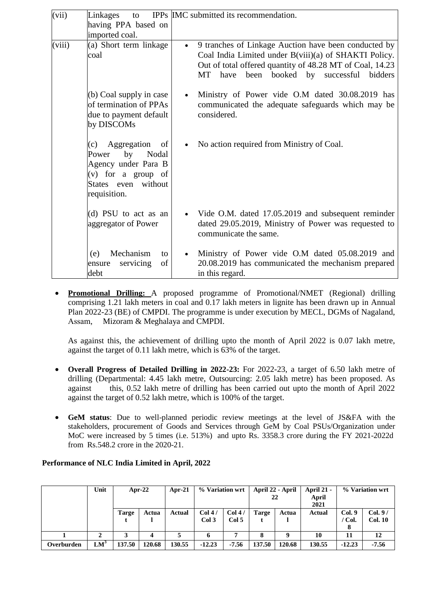| (vii)  | Linkages<br>to                                                                                                                         | IPPs IMC submitted its recommendation.                                                                                                                                                                                                                 |
|--------|----------------------------------------------------------------------------------------------------------------------------------------|--------------------------------------------------------------------------------------------------------------------------------------------------------------------------------------------------------------------------------------------------------|
|        | having PPA based on<br>imported coal.                                                                                                  |                                                                                                                                                                                                                                                        |
| (viii) | (a) Short term linkage<br>coal                                                                                                         | 9 tranches of Linkage Auction have been conducted by<br>$\bullet$<br>Coal India Limited under B(viii)(a) of SHAKTI Policy.<br>Out of total offered quantity of 48.28 MT of Coal, 14.23<br>booked by successful<br><b>MT</b><br>been<br>bidders<br>have |
|        | $(b)$ Coal supply in case<br>of termination of PPAs<br>due to payment default<br>by DISCOMs                                            | Ministry of Power vide O.M dated 30.08.2019 has<br>communicated the adequate safeguards which may be<br>considered.                                                                                                                                    |
|        | Aggregation<br>(c)<br>of<br>by<br>Nodal<br>Power<br>Agency under Para B<br>$(v)$ for a group of<br>States even without<br>requisition. | No action required from Ministry of Coal.                                                                                                                                                                                                              |
|        | (d) PSU to act as an<br>aggregator of Power                                                                                            | • Vide O.M. dated 17.05.2019 and subsequent reminder<br>dated 29.05.2019, Ministry of Power was requested to<br>communicate the same.                                                                                                                  |
|        | Mechanism<br>(e)<br>to<br>of<br>servicing<br>ensure<br>debt                                                                            | Ministry of Power vide O.M dated 05.08.2019 and<br>20.08.2019 has communicated the mechanism prepared<br>in this regard.                                                                                                                               |

 **Promotional Drilling:** A proposed programme of Promotional/NMET (Regional) drilling comprising 1.21 lakh meters in coal and 0.17 lakh meters in lignite has been drawn up in Annual Plan 2022-23 (BE) of CMPDI. The programme is under execution by MECL, DGMs of Nagaland, Assam, Mizoram & Meghalaya and CMPDI.

As against this, the achievement of drilling upto the month of April 2022 is 0.07 lakh metre, against the target of 0.11 lakh metre, which is 63% of the target.

- **Overall Progress of Detailed Drilling in 2022-23:** For 2022-23, a target of 6.50 lakh metre of drilling (Departmental: 4.45 lakh metre, Outsourcing: 2.05 lakh metre) has been proposed. As against this, 0.52 lakh metre of drilling has been carried out upto the month of April 2022 against the target of 0.52 lakh metre, which is 100% of the target.
- **GeM status**: Due to well-planned periodic review meetings at the level of JS&FA with the stakeholders, procurement of Goods and Services through GeM by Coal PSUs/Organization under MoC were increased by 5 times (i.e. 513%) and upto Rs. 3358.3 crore during the FY 2021-2022d from Rs.548.2 crore in the 2020-21.

|            | Unit            | Apr-22 |        | $Apr-21$ | % Variation wrt |                 | April 22 - April | 22     | <b>April 21 -</b><br>April<br>2021 |                  | % Variation wrt           |
|------------|-----------------|--------|--------|----------|-----------------|-----------------|------------------|--------|------------------------------------|------------------|---------------------------|
|            |                 | Targe  | Actua  | Actual   | Col 4/<br>Col3  | Col 4/<br>Col 5 | <b>Targe</b>     | Actua  | Actual                             | Col. 9<br>/ Col. | Col. 9/<br><b>Col. 10</b> |
|            |                 |        |        |          |                 |                 |                  |        | 10                                 |                  | 12                        |
| Overburden | $\mathbf{LM}^3$ | 137.50 | 120.68 | 130.55   | $-12.23$        | $-7.56$         | 137.50           | 120.68 | 130.55                             | $-12.23$         | $-7.56$                   |

### **Performance of NLC India Limited in April, 2022**